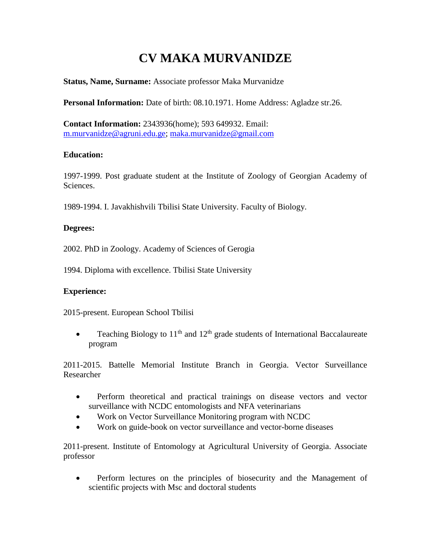# **CV MAKA MURVANIDZE**

## **Status, Name, Surname:** Associate professor Maka Murvanidze

**Personal Information:** Date of birth: 08.10.1971. Home Address: Agladze str.26.

**Contact Information:** 2343936(home); 593 649932. Email: [m.murvanidze@agruni.edu.ge;](mailto:m.murvanidze@agruni.edu.ge) [maka.murvanidze@gmail.com](mailto:maka.murvanidze@gmail.com)

### **Education:**

1997-1999. Post graduate student at the Institute of Zoology of Georgian Academy of Sciences.

1989-1994. I. Javakhishvili Tbilisi State University. Faculty of Biology.

## **Degrees:**

2002. PhD in Zoology. Academy of Sciences of Gerogia

1994. Diploma with excellence. Tbilisi State University

### **Experience:**

2015-present. European School Tbilisi

• Teaching Biology to  $11<sup>th</sup>$  and  $12<sup>th</sup>$  grade students of International Baccalaureate program

2011-2015. Battelle Memorial Institute Branch in Georgia. Vector Surveillance Researcher

- Perform theoretical and practical trainings on disease vectors and vector surveillance with NCDC entomologists and NFA veterinarians
- Work on Vector Surveillance Monitoring program with NCDC
- Work on guide-book on vector surveillance and vector-borne diseases

2011-present. Institute of Entomology at Agricultural University of Georgia. Associate professor

• Perform lectures on the principles of biosecurity and the Management of scientific projects with Msc and doctoral students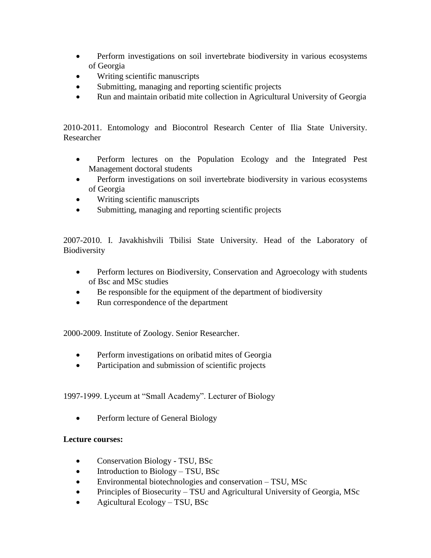- Perform investigations on soil invertebrate biodiversity in various ecosystems of Georgia
- Writing scientific manuscripts
- Submitting, managing and reporting scientific projects
- Run and maintain oribatid mite collection in Agricultural University of Georgia

2010-2011. Entomology and Biocontrol Research Center of Ilia State University. Researcher

- Perform lectures on the Population Ecology and the Integrated Pest Management doctoral students
- Perform investigations on soil invertebrate biodiversity in various ecosystems of Georgia
- Writing scientific manuscripts
- Submitting, managing and reporting scientific projects

2007-2010. I. Javakhishvili Tbilisi State University. Head of the Laboratory of Biodiversity

- Perform lectures on Biodiversity, Conservation and Agroecology with students of Bsc and MSc studies
- Be responsible for the equipment of the department of biodiversity
- Run correspondence of the department

2000-2009. Institute of Zoology. Senior Researcher.

- Perform investigations on oribatid mites of Georgia
- Participation and submission of scientific projects

1997-1999. Lyceum at "Small Academy". Lecturer of Biology

• Perform lecture of General Biology

### **Lecture courses:**

- Conservation Biology TSU, BSc
- $\bullet$  Introduction to Biology TSU, BSc
- Environmental biotechnologies and conservation TSU, MSc
- Principles of Biosecurity TSU and Agricultural University of Georgia, MSc
- Agicultural Ecology TSU, BSc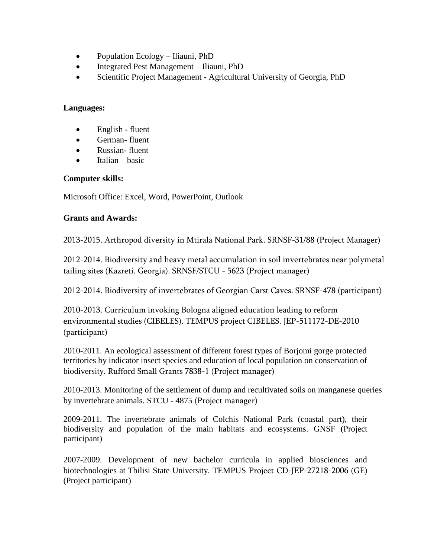- Population Ecology Iliauni, PhD
- Integrated Pest Management Iliauni, PhD
- Scientific Project Management Agricultural University of Georgia, PhD

#### **Languages:**

- English fluent
- German- fluent
- Russian- fluent
- Italian basic

#### **Computer skills:**

Microsoft Office: Excel, Word, PowerPoint, Outlook

### **Grants and Awards:**

2013-2015. Arthropod diversity in Mtirala National Park. SRNSF-31/88 (Project Manager)

2012-2014. Biodiversity and heavy metal accumulation in soil invertebrates near polymetal tailing sites (Kazreti. Georgia). SRNSF/STCU - 5623 (Project manager)

2012-2014. Biodiversity of invertebrates of Georgian Carst Caves. SRNSF-478 (participant)

2010-2013. Curriculum invoking Bologna aligned education leading to reform environmental studies (CIBELES). TEMPUS project CIBELES. JEP-511172-DE-2010 (participant)

2010-2011. An ecological assessment of different forest types of Borjomi gorge protected territories by indicator insect species and education of local population on conservation of biodiversity. Rufford Small Grants 7838-1 (Project manager)

2010-2013. Monitoring of the settlement of dump and recultivated soils on manganese queries by invertebrate animals. STCU - 4875 (Project manager)

2009-2011. The invertebrate animals of Colchis National Park (coastal part), their biodiversity and population of the main habitats and ecosystems. GNSF (Project participant)

2007-2009. Development of new bachelor curricula in applied biosciences and biotechnologies at Tbilisi State University. TEMPUS Project CD-JEP-27218-2006 (GE) (Project participant)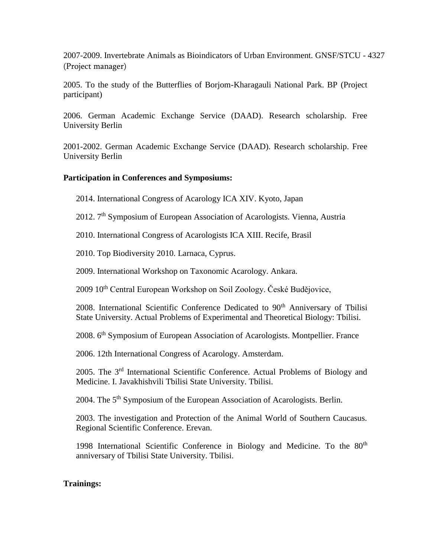2007-2009. Invertebrate Animals as Bioindicators of Urban Environment. GNSF/STCU - 4327 (Project manager)

2005. To the study of the Butterflies of Borjom-Kharagauli National Park. BP (Project participant)

2006. German Academic Exchange Service (DAAD). Research scholarship. Free University Berlin

2001-2002. German Academic Exchange Service (DAAD). Research scholarship. Free University Berlin

### **Participation in Conferences and Symposiums:**

2014. International Congress of Acarology ICA XIV. Kyoto, Japan

2012. 7<sup>th</sup> Symposium of European Association of Acarologists. Vienna, Austria

2010. International Congress of Acarologists ICA XIII. Recife, Brasil

2010. Top Biodiversity 2010. Larnaca, Cyprus.

2009. International Workshop on Taxonomic Acarology. Ankara.

2009 10th Central European Workshop on Soil Zoology. České Budějovice,

2008. International Scientific Conference Dedicated to 90<sup>th</sup> Anniversary of Tbilisi State University. Actual Problems of Experimental and Theoretical Biology: Tbilisi.

2008. 6th Symposium of European Association of Acarologists. Montpellier. France

2006. 12th International Congress of Acarology. Amsterdam.

2005. The 3rd International Scientific Conference. Actual Problems of Biology and Medicine. I. Javakhishvili Tbilisi State University. Tbilisi.

2004. The 5<sup>th</sup> Symposium of the European Association of Acarologists. Berlin.

2003. The investigation and Protection of the Animal World of Southern Caucasus. Regional Scientific Conference. Erevan.

1998 International Scientific Conference in Biology and Medicine. To the 80<sup>th</sup> anniversary of Tbilisi State University. Tbilisi.

## **Trainings:**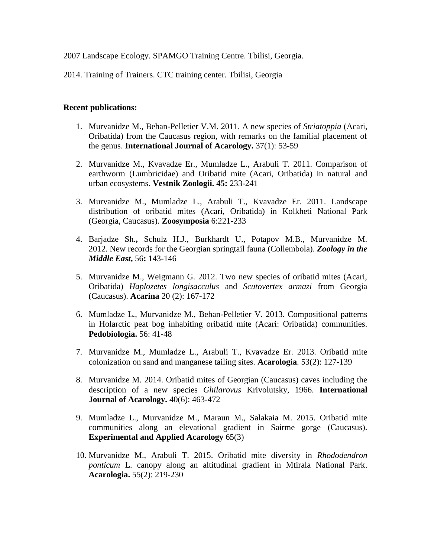2007 Landscape Ecology. SPAMGO Training Centre. Tbilisi, Georgia.

2014. Training of Trainers. CTC training center. Tbilisi, Georgia

#### **Recent publications:**

- 1. Murvanidze M., Behan-Pelletier V.M. 2011. A new species of *Striatoppia* (Acari, Oribatida) from the Caucasus region, with remarks on the familial placement of the genus. **International Journal of Acarology.** 37(1): 53-59
- 2. Murvanidze M., Kvavadze Er., Mumladze L., Arabuli T. 2011. Comparison of earthworm (Lumbricidae) and Oribatid mite (Acari, Oribatida) in natural and urban ecosystems. **Vestnik Zoologii. 45:** 233-241
- 3. Murvanidze M., Mumladze L., Arabuli T., Kvavadze Er. 2011. Landscape distribution of oribatid mites (Acari, Oribatida) in Kolkheti National Park (Georgia, Caucasus). **Zoosymposia** 6:221-233
- 4. Barjadze Sh.**,** Schulz H.J., Burkhardt U., Potapov M.B., Murvanidze M. 2012. New records for the Georgian springtail fauna (Collembola). *Zoology in the Middle East***,** 56**:** 143-146
- 5. Murvanidze M., Weigmann G. 2012. Two new species of oribatid mites (Acari, Oribatida) *Haplozetes longisacculus* and *Scutovertex armazi* from Georgia (Caucasus). **Acarina** 20 (2): 167-172
- 6. Mumladze L., Murvanidze M., Behan-Pelletier V. 2013. Compositional patterns in Holarctic peat bog inhabiting oribatid mite (Acari: Oribatida) communities. **Pedobiologia.** 56: 41-48
- 7. Murvanidze M., Mumladze L., Arabuli T., Kvavadze Er. 2013. Oribatid mite colonization on sand and manganese tailing sites. **Acarologia**. 53(2): 127-139
- 8. Murvanidze M. 2014. Oribatid mites of Georgian (Caucasus) caves including the description of a new species *Ghilarovus* Krivolutsky, 1966. **International Journal of Acarology.**  $40(6)$ :  $463-472$
- 9. Mumladze L., Murvanidze M., Maraun M., Salakaia M. 2015. Oribatid mite communities along an elevational gradient in Sairme gorge (Caucasus). **Experimental and Applied Acarology** 65(3)
- 10. Murvanidze M., Arabuli T. 2015. Oribatid mite diversity in *Rhododendron ponticum* L. canopy along an altitudinal gradient in Mtirala National Park. **Acarologia.** 55(2): 219-230